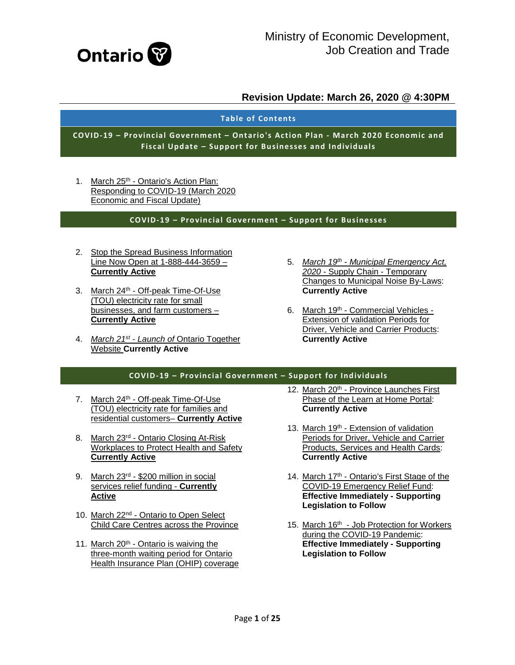

#### **Table of Contents**

**COVID-19 – Provincial Government – Ontario's Action Plan - March 2020 Economic and Fiscal Update – Support for Businesses and Individuals**

1. March 25<sup>th</sup> - Ontario's Action Plan: [Responding to COVID-19 \(March 2020](#page-2-0)  [Economic and Fiscal Update\)](#page-2-0)

#### **COVID-19 – Provincial Government – Support for Businesses**

- 2. [Stop the Spread Business Information](#page-2-0)  [Line Now Open at 1-888-444-3659 –](#page-2-0) **[Currently Active](#page-2-0)**
- 3. March 24th [Off-peak Time-Of-Use](#page-2-0)  [\(TOU\) electricity rate for small](#page-2-0)  [businesses, and farm customers –](#page-2-0) **[Currently Active](#page-2-0)**
- 4. *March 21st - Launch of* [Ontario Together](#page-6-0)  Website **[Currently Active](#page-6-0)**
- 5. *March 19th - [Municipal Emergency Act,](#page-7-0)  2020* - [Supply Chain -](#page-7-0) Temporary [Changes to Municipal Noise By-Laws:](#page-7-0)  **[Currently Active](#page-7-0)**
- 6. March 19th [Commercial Vehicles -](#page-7-1) [Extension of validation Periods for](#page-7-1)  [Driver, Vehicle and Carrier Products:](#page-7-1)  **[Currently Active](#page-7-1)**

#### **COVID-19 – Provincial Government – Support for Individuals**

- 7. March 24<sup>th</sup> Off-peak Time-Of-Use [\(TOU\) electricity rate for families and](#page-7-2)  [residential customers–](#page-7-2) **Currently Active**
- 8. March 23<sup>rd</sup> Ontario Closing At-Risk [Workplaces to Protect Health and Safety](#page-8-0)  **[Currently Active](#page-8-0)**
- 9. March 23rd [\\$200 million in social](#page-8-1)  [services relief funding -](#page-8-1) **Currently [Active](#page-8-1)**
- 10. March 22nd [Ontario to Open Select](#page-9-0)  [Child Care Centres across the Province](#page-9-0)
- 11. March 20<sup>th</sup> Ontario is waiving the [three-month waiting period for Ontario](#page-9-1)  [Health Insurance Plan \(OHIP\) coverage](#page-9-1)
- 12. March 20<sup>th</sup> Province Launches First [Phase of the Learn at Home Portal:](#page-9-2)  **[Currently Active](#page-9-2)**
- 13. March 19th Extension of validation [Periods for Driver, Vehicle and Carrier](#page-9-3)  [Products, Services and Health Cards:](#page-9-3)  **[Currently Active](#page-9-3)**
- 14. March 17<sup>th</sup> Ontario's First Stage of the [COVID-19 Emergency Relief Fund:](#page-10-0)  **[Effective Immediately -](#page-10-0) Supporting [Legislation to Follow](#page-10-0)**
- 15. March 16<sup>th</sup> Job Protection for Workers [during the COVID-19 Pandemic:](#page-11-0)  **[Effective Immediately -](#page-11-0) Supporting [Legislation to Follow](#page-11-0)**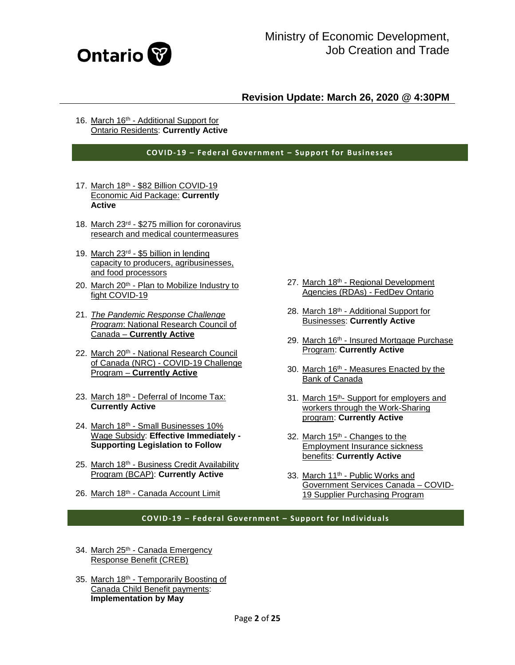

16. March 16th - Additional Support for [Ontario Residents:](#page-11-1) **Currently Active**

**COVID-19 – Federal Government – Support for Businesses**

- 17. March 18th \$82 Billion COVID-19 [Economic Aid Package:](#page-12-0) **Currently [Active](#page-12-0)**
- 18. March 23rd \$275 [million for coronavirus](#page-12-1)  [research and medical countermeasures](#page-12-1)
- 19. March 23rd [\\$5 billion in lending](#page-12-2)  [capacity to producers, agribusinesses,](#page-12-2)  [and food processors](#page-12-2)
- 20. March  $20<sup>th</sup>$  Plan to Mobilize Industry to [fight COVID-19](#page-13-0)
- 21. *[The Pandemic Response Challenge](#page-13-1)  Program*[: National Research Council of](#page-13-1)  Canada – **[Currently Active](#page-13-1)**
- 22. March 20th National Research Council of Canada (NRC) - [COVID-19 Challenge](#page-14-0)  Program – **[Currently Active](#page-14-0)**
- 23. March 18<sup>th</sup> [Deferral of Income Tax:](#page-14-1) **[Currently Active](#page-14-1)**
- 24. March 18th Small Businesses 10% [Wage Subsidy:](#page-15-0) **Effective Immediately - [Supporting Legislation to Follow](#page-15-0)**
- 25. March 18th Business Credit Availability [Program \(BCAP\):](#page-15-1) **Currently Active**
- 26. March 18th [Canada Account Limit](#page-16-0)
- 27. March 18th Regional Development [Agencies \(RDAs\) -](#page-16-1) FedDev Ontario
- 28. March 18th Additional Support for Businesses: **[Currently Active](#page-17-0)**
- 29. March 16th Insured Mortgage Purchase Program: **[Currently Active](#page-17-1)**
- 30. March 16th Measures Enacted by the [Bank of Canada](#page-17-2)
- 31. March 15th- [Support for employers and](#page-18-0)  [workers through the Work-Sharing](#page-18-0)  program: **[Currently Active](#page-18-0)**
- 32. March  $15<sup>th</sup>$  Changes to the [Employment Insurance sickness](#page-18-1)  benefits: **[Currently Active](#page-18-1)**
- 33. March 11<sup>th</sup> Public Works and [Government Services Canada –](#page-19-0) COVID-[19 Supplier Purchasing Program](#page-19-0)

#### **COVID-19 – Federal Government – Support for Individuals**

- 34. March 25th Canada Emergency [Response Benefit \(CREB\)](#page-20-0)
- 35. March 18th Temporarily Boosting of [Canada Child Benefit payments:](#page-20-1)  **[Implementation by May](#page-20-1)**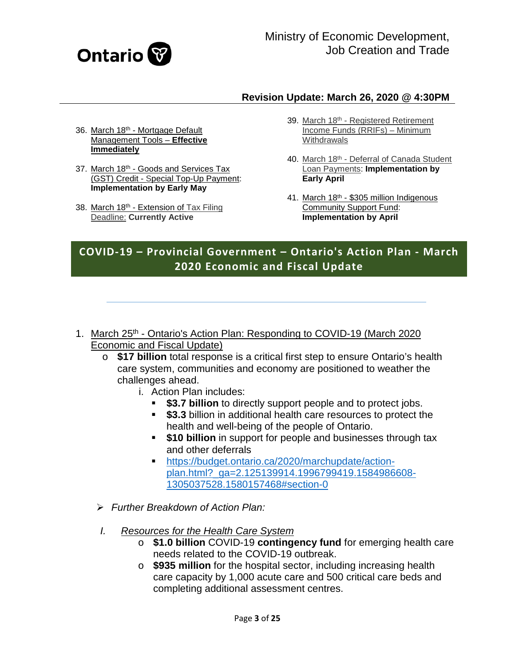

- 36. March 18th [Mortgage Default](#page-21-0)  [Management Tools –](#page-21-0) **Effective [Immediately](#page-21-0)**
- 37. March 18th [Goods and Services Tax](#page-21-1)  (GST) Credit - [Special Top-Up Payment:](#page-21-1)  **[Implementation by Early May](#page-21-1)**
- 38. March 18<sup>th</sup> Extension of Tax Filing Deadline: **[Currently Active](#page-21-2)**
- 39. March 18th Registered Retirement [Income Funds \(RRIFs\) –](#page-21-3) Minimum **[Withdrawals](#page-21-3)**
- 40. March 18th Deferral of Canada Student Loan Payments: **[Implementation by](#page-21-4)  [Early April](#page-21-4)**
- 41. March 18th \$305 million Indigenous [Community Support Fund:](#page-22-0)  **[Implementation by April](#page-22-0)**

# **COVID-19 – Provincial Government – Ontario's Action Plan - March 2020 Economic and Fiscal Update**

- <span id="page-2-0"></span>1. March 25<sup>th</sup> - Ontario's Action Plan: Responding to COVID-19 (March 2020) Economic and Fiscal Update)
	- o **\$17 billion** total response is a critical first step to ensure Ontario's health care system, communities and economy are positioned to weather the challenges ahead.
		- i. Action Plan includes:
			- **\$3.7 billion** to directly support people and to protect jobs.
			- **\$3.3** billion in additional health care resources to protect the health and well-being of the people of Ontario.
			- **\$10 billion** in support for people and businesses through tax and other deferrals
			- [https://budget.ontario.ca/2020/marchupdate/action](https://budget.ontario.ca/2020/marchupdate/action-plan.html?_ga=2.125139914.1996799419.1584986608-1305037528.1580157468#section-0)[plan.html?\\_ga=2.125139914.1996799419.1584986608-](https://budget.ontario.ca/2020/marchupdate/action-plan.html?_ga=2.125139914.1996799419.1584986608-1305037528.1580157468#section-0) [1305037528.1580157468#section-0](https://budget.ontario.ca/2020/marchupdate/action-plan.html?_ga=2.125139914.1996799419.1584986608-1305037528.1580157468#section-0)
	- *Further Breakdown of Action Plan:*
	- *I. Resources for the Health Care System*
		- o **\$1.0 billion** COVID-19 **contingency fund** for emerging health care needs related to the COVID-19 outbreak.
		- o **\$935 million** for the hospital sector, including increasing health care capacity by 1,000 acute care and 500 critical care beds and completing additional assessment centres.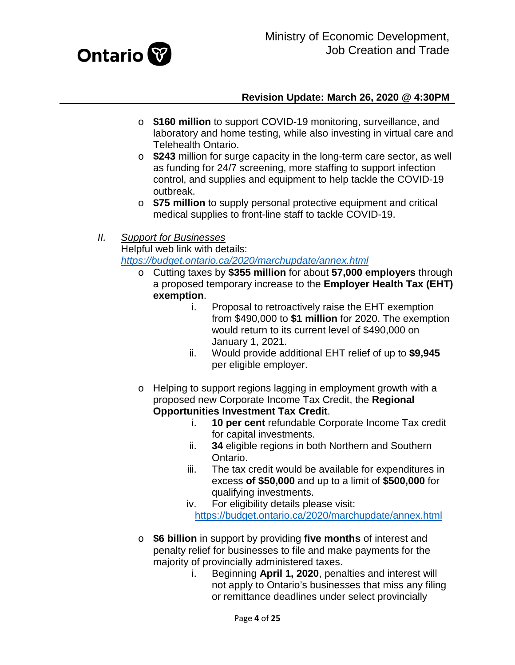

- o **\$160 million** to support COVID-19 monitoring, surveillance, and laboratory and home testing, while also investing in virtual care and Telehealth Ontario.
- o **\$243** million for surge capacity in the long-term care sector, as well as funding for 24/7 screening, more staffing to support infection control, and supplies and equipment to help tackle the COVID-19 outbreak.
- o **\$75 million** to supply personal protective equipment and critical medical supplies to front-line staff to tackle COVID-19.

# *II. Support for Businesses*

Helpful web link with details:

*<https://budget.ontario.ca/2020/marchupdate/annex.html>*

- o Cutting taxes by **\$355 million** for about **57,000 employers** through a proposed temporary increase to the **Employer Health Tax (EHT) exemption**.
	- i. Proposal to retroactively raise the EHT exemption from \$490,000 to **\$1 million** for 2020. The exemption would return to its current level of \$490,000 on January 1, 2021.
	- ii. Would provide additional EHT relief of up to **\$9,945** per eligible employer.
- o Helping to support regions lagging in employment growth with a proposed new Corporate Income Tax Credit, the **Regional Opportunities Investment Tax Credit**.
	- i. **10 per cent** refundable Corporate Income Tax credit for capital investments.
	- ii. **34** eligible regions in both Northern and Southern Ontario.
	- iii. The tax credit would be available for expenditures in excess **of \$50,000** and up to a limit of **\$500,000** for qualifying investments.
	- iv. For eligibility details please visit: <https://budget.ontario.ca/2020/marchupdate/annex.html>
- o **\$6 billion** in support by providing **five months** of interest and penalty relief for businesses to file and make payments for the majority of provincially administered taxes.
	- i. Beginning **April 1, 2020**, penalties and interest will not apply to Ontario's businesses that miss any filing or remittance deadlines under select provincially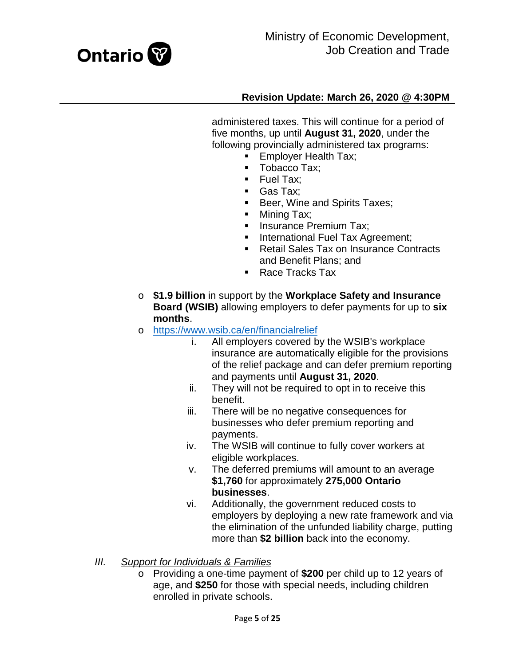

administered taxes. This will continue for a period of five months, up until **August 31, 2020**, under the following provincially administered tax programs:

- **Employer Health Tax;**
- Tobacco Tax:
- Fuel Tax;
- Gas Tax;
- **Beer, Wine and Spirits Taxes;**
- Mining Tax;
- **Insurance Premium Tax;**
- **International Fuel Tax Agreement;**
- Retail Sales Tax on Insurance Contracts and Benefit Plans; and
- Race Tracks Tax
- o **\$1.9 billion** in support by the **Workplace Safety and Insurance Board (WSIB)** allowing employers to defer payments for up to **six months**.
- o <https://www.wsib.ca/en/financialrelief><br>i. All employers covered b
	- All employers covered by the WSIB's workplace insurance are automatically eligible for the provisions of the relief package and can defer premium reporting and payments until **August 31, 2020**.
	- ii. They will not be required to opt in to receive this benefit.
	- iii. There will be no negative consequences for businesses who defer premium reporting and payments.
	- iv. The WSIB will continue to fully cover workers at eligible workplaces.
	- v. The deferred premiums will amount to an average **\$1,760** for approximately **275,000 Ontario businesses**.
	- vi. Additionally, the government reduced costs to employers by deploying a new rate framework and via the elimination of the unfunded liability charge, putting more than **\$2 billion** back into the economy.
- *III. Support for Individuals & Families*
	- o Providing a one-time payment of **\$200** per child up to 12 years of age, and **\$250** for those with special needs, including children enrolled in private schools.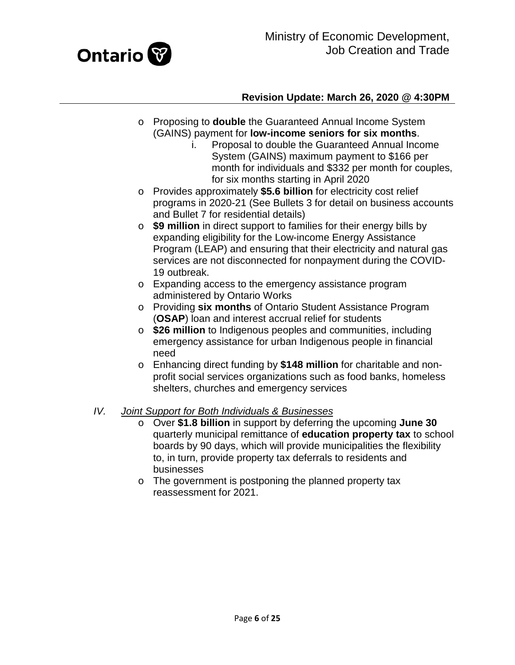

- o Proposing to **double** the Guaranteed Annual Income System (GAINS) payment for **low-income seniors for six months**.
	- i. Proposal to double the Guaranteed Annual Income System (GAINS) maximum payment to \$166 per month for individuals and \$332 per month for couples, for six months starting in April 2020
- o Provides approximately **\$5.6 billion** for electricity cost relief programs in 2020-21 (See Bullets 3 for detail on business accounts and Bullet 7 for residential details)
- o **\$9 million** in direct support to families for their energy bills by expanding eligibility for the Low-income Energy Assistance Program (LEAP) and ensuring that their electricity and natural gas services are not disconnected for nonpayment during the COVID-19 outbreak.
- o Expanding access to the emergency assistance program administered by Ontario Works
- o Providing **six months** of Ontario Student Assistance Program (**OSAP**) loan and interest accrual relief for students
- o **\$26 million** to Indigenous peoples and communities, including emergency assistance for urban Indigenous people in financial need
- o Enhancing direct funding by **\$148 million** for charitable and nonprofit social services organizations such as food banks, homeless shelters, churches and emergency services

### *IV. Joint Support for Both Individuals & Businesses*

- o Over **\$1.8 billion** in support by deferring the upcoming **June 30** quarterly municipal remittance of **education property tax** to school boards by 90 days, which will provide municipalities the flexibility to, in turn, provide property tax deferrals to residents and businesses
- o The government is postponing the planned property tax reassessment for 2021.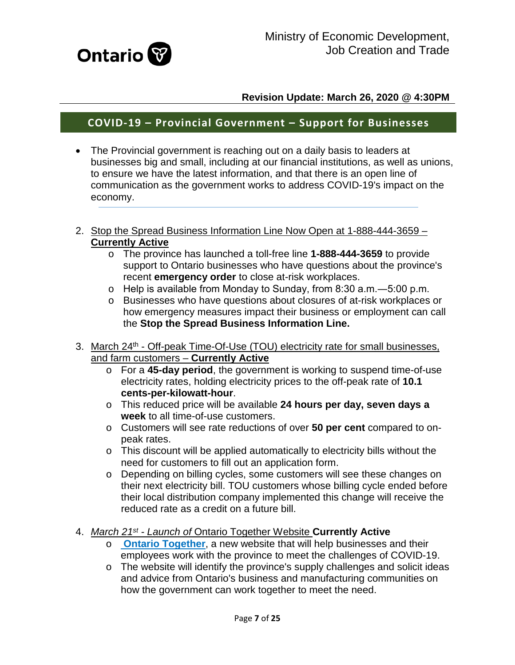

# **COVID-19 – Provincial Government – Support for Businesses**

- The Provincial government is reaching out on a daily basis to leaders at businesses big and small, including at our financial institutions, as well as unions, to ensure we have the latest information, and that there is an open line of communication as the government works to address COVID-19's impact on the economy.
- 2. Stop the Spread Business Information Line Now Open at 1-888-444-3659 -**Currently Active**
	- o The province has launched a toll-free line **1-888-444-3659** to provide support to Ontario businesses who have questions about the province's recent **emergency order** to close at-risk workplaces.
	- o Help is available from Monday to Sunday, from 8:30 a.m.―5:00 p.m.
	- o Businesses who have questions about closures of at-risk workplaces or how emergency measures impact their business or employment can call the **Stop the Spread Business Information Line.**
- 3. March 24<sup>th</sup> Off-peak Time-Of-Use (TOU) electricity rate for small businesses, and farm customers – **Currently Active**
	- o For a **45-day period**, the government is working to suspend time-of-use electricity rates, holding electricity prices to the off-peak rate of **10.1 cents-per-kilowatt-hour**.
	- o This reduced price will be available **24 hours per day, seven days a week** to all time-of-use customers.
	- o Customers will see rate reductions of over **50 per cent** compared to onpeak rates.
	- o This discount will be applied automatically to electricity bills without the need for customers to fill out an application form.
	- o Depending on billing cycles, some customers will see these changes on their next electricity bill. TOU customers whose billing cycle ended before their local distribution company implemented this change will receive the reduced rate as a credit on a future bill.
- <span id="page-6-0"></span>4. *March 21st - Launch of* Ontario Together Website **Currently Active**
	- o **[Ontario Together](http://ontario.ca/ontariotogether?_ga=2.117268422.1996799419.1584986608-1305037528.1580157468)**, a new website that will help businesses and their employees work with the province to meet the challenges of COVID-19.
	- o The website will identify the province's supply challenges and solicit ideas and advice from Ontario's business and manufacturing communities on how the government can work together to meet the need.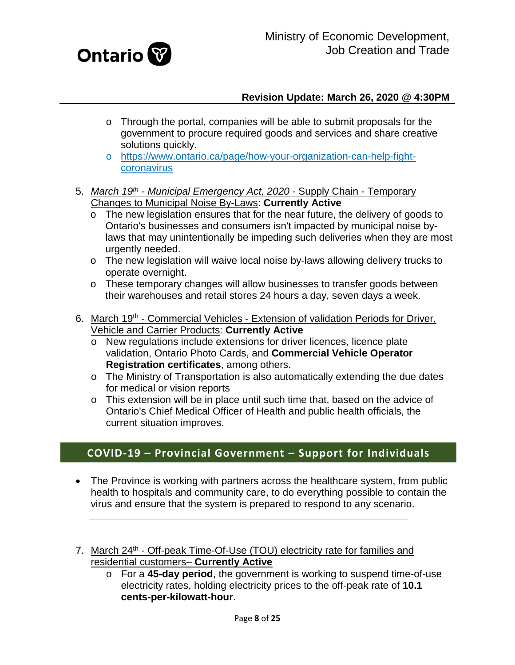

- o Through the portal, companies will be able to submit proposals for the government to procure required goods and services and share creative solutions quickly.
- o [https://www.ontario.ca/page/how-your-organization-can-help-fight](https://www.ontario.ca/page/how-your-organization-can-help-fight-coronavirus)[coronavirus](https://www.ontario.ca/page/how-your-organization-can-help-fight-coronavirus)
- <span id="page-7-0"></span>5. *March 19th - Municipal Emergency Act, 2020* - Supply Chain - Temporary Changes to Municipal Noise By-Laws: **Currently Active** 
	- o The new legislation ensures that for the near future, the delivery of goods to Ontario's businesses and consumers isn't impacted by municipal noise bylaws that may unintentionally be impeding such deliveries when they are most urgently needed.
	- o The new legislation will waive local noise by-laws allowing delivery trucks to operate overnight.
	- o These temporary changes will allow businesses to transfer goods between their warehouses and retail stores 24 hours a day, seven days a week.
- <span id="page-7-1"></span>6. March 19<sup>th</sup> - Commercial Vehicles - Extension of validation Periods for Driver, Vehicle and Carrier Products: **Currently Active**
	- o New regulations include extensions for driver licences, licence plate validation, Ontario Photo Cards, and **Commercial Vehicle Operator Registration certificates**, among others.
	- o The Ministry of Transportation is also automatically extending the due dates for medical or vision reports
	- o This extension will be in place until such time that, based on the advice of Ontario's Chief Medical Officer of Health and public health officials, the current situation improves.

# **COVID-19 – Provincial Government – Support for Individuals**

- The Province is working with partners across the healthcare system, from public health to hospitals and community care, to do everything possible to contain the virus and ensure that the system is prepared to respond to any scenario.
- <span id="page-7-2"></span>7. March 24<sup>th</sup> - Off-peak Time-Of-Use (TOU) electricity rate for families and residential customers– **Currently Active**
	- o For a **45-day period**, the government is working to suspend time-of-use electricity rates, holding electricity prices to the off-peak rate of **10.1 cents-per-kilowatt-hour**.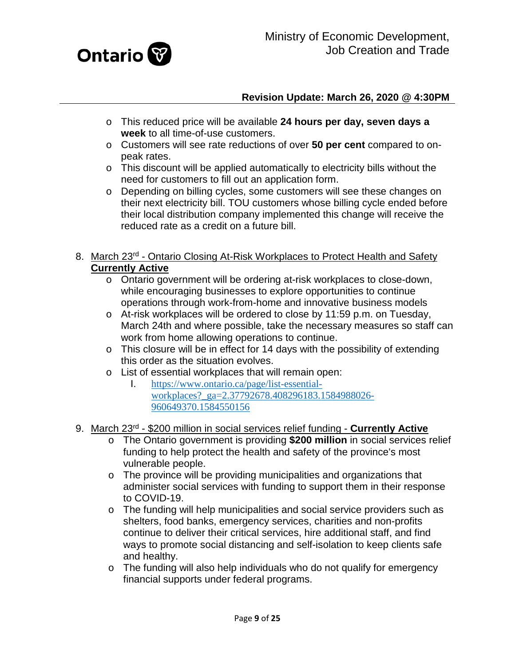

- o This reduced price will be available **24 hours per day, seven days a week** to all time-of-use customers.
- o Customers will see rate reductions of over **50 per cent** compared to onpeak rates.
- o This discount will be applied automatically to electricity bills without the need for customers to fill out an application form.
- o Depending on billing cycles, some customers will see these changes on their next electricity bill. TOU customers whose billing cycle ended before their local distribution company implemented this change will receive the reduced rate as a credit on a future bill.

### <span id="page-8-0"></span>8. March 23<sup>rd</sup> - Ontario Closing At-Risk Workplaces to Protect Health and Safety **Currently Active**

- o Ontario government will be ordering at-risk workplaces to close-down, while encouraging businesses to explore opportunities to continue operations through work-from-home and innovative business models
- o At-risk workplaces will be ordered to close by 11:59 p.m. on Tuesday, March 24th and where possible, take the necessary measures so staff can work from home allowing operations to continue.
- o This closure will be in effect for 14 days with the possibility of extending this order as the situation evolves.
- o List of essential workplaces that will remain open:<br>1. https://www.ontario.ca/page/list-essential-
	- I. [https://www.ontario.ca/page/list-essential](https://www.ontario.ca/page/list-essential-workplaces?_ga=2.37792678.408296183.1584988026-960649370.1584550156)workplaces? ga=2.37792678.408296183.1584988026-[960649370.1584550156](https://www.ontario.ca/page/list-essential-workplaces?_ga=2.37792678.408296183.1584988026-960649370.1584550156)
- <span id="page-8-1"></span>9. March 23rd - \$200 million in social services relief funding - **Currently Active**
	- o The Ontario government is providing **\$200 million** in social services relief funding to help protect the health and safety of the province's most vulnerable people.
	- o The province will be providing municipalities and organizations that administer social services with funding to support them in their response to COVID-19.
	- o The funding will help municipalities and social service providers such as shelters, food banks, emergency services, charities and non-profits continue to deliver their critical services, hire additional staff, and find ways to promote social distancing and self-isolation to keep clients safe and healthy.
	- o The funding will also help individuals who do not qualify for emergency financial supports under federal programs.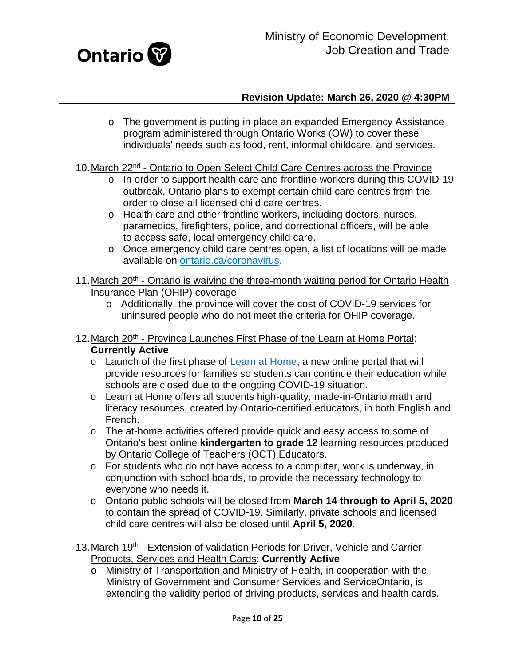

- o The government is putting in place an expanded Emergency Assistance program administered through Ontario Works (OW) to cover these individuals' needs such as food, rent, informal childcare, and services.
- <span id="page-9-0"></span>10. March 22<sup>nd</sup> - Ontario to Open Select Child Care Centres across the Province
	- o In order to support health care and frontline workers during this COVID-19 outbreak, Ontario plans to exempt certain child care centres from the order to close all licensed child care centres.
	- o Health care and other frontline workers, including doctors, nurses, paramedics, firefighters, police, and correctional officers, will be able to access safe, local emergency child care.
	- o Once emergency child care centres open, a list of locations will be made available on [ontario.ca/coronavirus.](http://www.ontario.ca/coronavirus?_ga=2.91567450.1996799419.1584986608-1305037528.1580157468)
- <span id="page-9-1"></span>11. March 20<sup>th</sup> - Ontario is waiving the three-month waiting period for Ontario Health Insurance Plan (OHIP) coverage
	- o Additionally, the province will cover the cost of COVID-19 services for uninsured people who do not meet the criteria for OHIP coverage.
- <span id="page-9-2"></span>12. March 20<sup>th</sup> - Province Launches First Phase of the Learn at Home Portal: **Currently Active**
	- o Launch of the first phase of [Learn at Home,](https://www.ontario.ca/page/learn-at-home?_ga=2.104073862.780307966.1584385273-1305037528.1580157468) a new online portal that will provide resources for families so students can continue their education while schools are closed due to the ongoing COVID-19 situation.
	- o Learn at Home offers all students high-quality, made-in-Ontario math and literacy resources, created by Ontario-certified educators, in both English and French.
	- o The at-home activities offered provide quick and easy access to some of Ontario's best online **kindergarten to grade 12** learning resources produced by Ontario College of Teachers (OCT) Educators.
	- o For students who do not have access to a computer, work is underway, in conjunction with school boards, to provide the necessary technology to everyone who needs it.
	- o Ontario public schools will be closed from **March 14 through to April 5, 2020** to contain the spread of COVID-19. Similarly, private schools and licensed child care centres will also be closed until **April 5, 2020**.
- <span id="page-9-3"></span>13. March 19<sup>th</sup> - Extension of validation Periods for Driver, Vehicle and Carrier Products, Services and Health Cards: **Currently Active**
	- o Ministry of Transportation and Ministry of Health, in cooperation with the Ministry of Government and Consumer Services and ServiceOntario, is extending the validity period of driving products, services and health cards.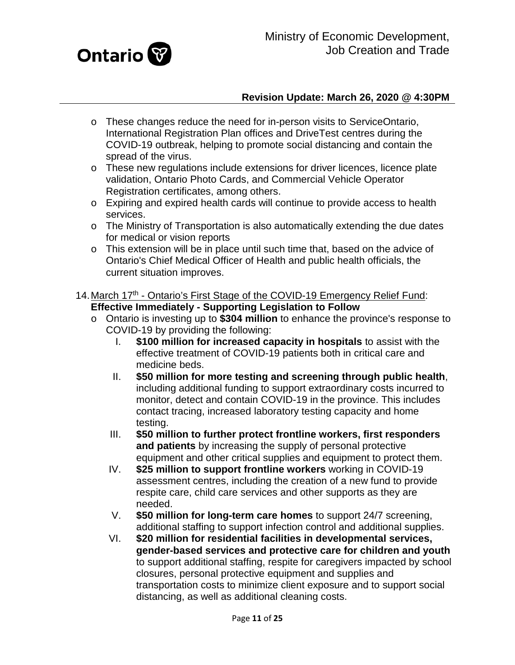

- o These changes reduce the need for in-person visits to ServiceOntario, International Registration Plan offices and DriveTest centres during the COVID-19 outbreak, helping to promote social distancing and contain the spread of the virus.
- o These new regulations include extensions for driver licences, licence plate validation, Ontario Photo Cards, and Commercial Vehicle Operator Registration certificates, among others.
- o Expiring and expired health cards will continue to provide access to health services.
- o The Ministry of Transportation is also automatically extending the due dates for medical or vision reports
- o This extension will be in place until such time that, based on the advice of Ontario's Chief Medical Officer of Health and public health officials, the current situation improves.
- <span id="page-10-0"></span>14. March 17<sup>th</sup> - Ontario's First Stage of the COVID-19 Emergency Relief Fund: **Effective Immediately - Supporting Legislation to Follow**
	- o Ontario is investing up to **\$304 million** to enhance the province's response to COVID-19 by providing the following:
		- I. **\$100 million for increased capacity in hospitals** to assist with the effective treatment of COVID-19 patients both in critical care and medicine beds.
		- II. **\$50 million for more testing and screening through public health**, including additional funding to support extraordinary costs incurred to monitor, detect and contain COVID-19 in the province. This includes contact tracing, increased laboratory testing capacity and home testing.
		- III. **\$50 million to further protect frontline workers, first responders and patients** by increasing the supply of personal protective equipment and other critical supplies and equipment to protect them.
		- IV. **\$25 million to support frontline workers** working in COVID-19 assessment centres, including the creation of a new fund to provide respite care, child care services and other supports as they are needed.
		- V. **\$50 million for long-term care homes** to support 24/7 screening, additional staffing to support infection control and additional supplies.
		- VI. **\$20 million for residential facilities in developmental services, gender-based services and protective care for children and youth** to support additional staffing, respite for caregivers impacted by school closures, personal protective equipment and supplies and transportation costs to minimize client exposure and to support social distancing, as well as additional cleaning costs.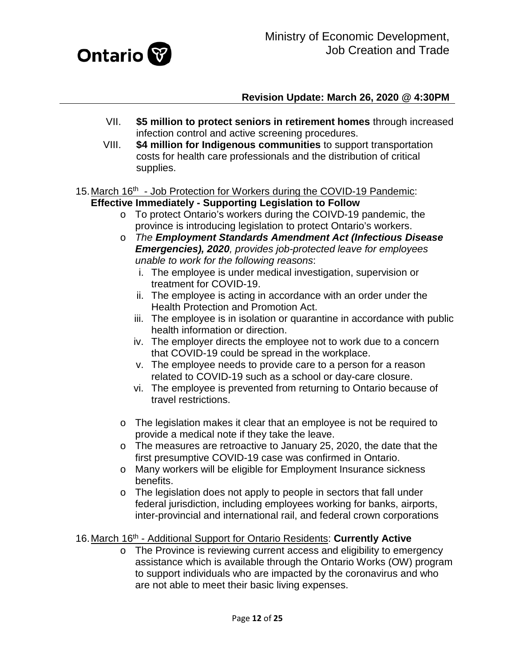

- VII. **\$5 million to protect seniors in retirement homes** through increased infection control and active screening procedures.
- VIII. **\$4 million for Indigenous communities** to support transportation costs for health care professionals and the distribution of critical supplies.
- <span id="page-11-0"></span>15. March 16<sup>th</sup> - Job Protection for Workers during the COVID-19 Pandemic: **Effective Immediately - Supporting Legislation to Follow**
	- o To protect Ontario's workers during the COIVD-19 pandemic, the province is introducing legislation to protect Ontario's workers.
	- o *The Employment Standards Amendment Act (Infectious Disease Emergencies), 2020, provides job-protected leave for employees unable to work for the following reasons*:
		- i. The employee is under medical investigation, supervision or treatment for COVID-19.
		- ii. The employee is acting in accordance with an order under the Health Protection and Promotion Act.
		- iii. The employee is in isolation or quarantine in accordance with public health information or direction.
		- iv. The employer directs the employee not to work due to a concern that COVID-19 could be spread in the workplace.
		- v. The employee needs to provide care to a person for a reason related to COVID-19 such as a school or day-care closure.
		- vi. The employee is prevented from returning to Ontario because of travel restrictions.
	- o The legislation makes it clear that an employee is not be required to provide a medical note if they take the leave.
	- o The measures are retroactive to January 25, 2020, the date that the first presumptive COVID-19 case was confirmed in Ontario.
	- o Many workers will be eligible for Employment Insurance sickness benefits.
	- o The legislation does not apply to people in sectors that fall under federal jurisdiction, including employees working for banks, airports, inter-provincial and international rail, and federal crown corporations

### <span id="page-11-1"></span>16.March 16th - Additional Support for Ontario Residents: **Currently Active**

o The Province is reviewing current access and eligibility to emergency assistance which is available through the Ontario Works (OW) program to support individuals who are impacted by the coronavirus and who are not able to meet their basic living expenses.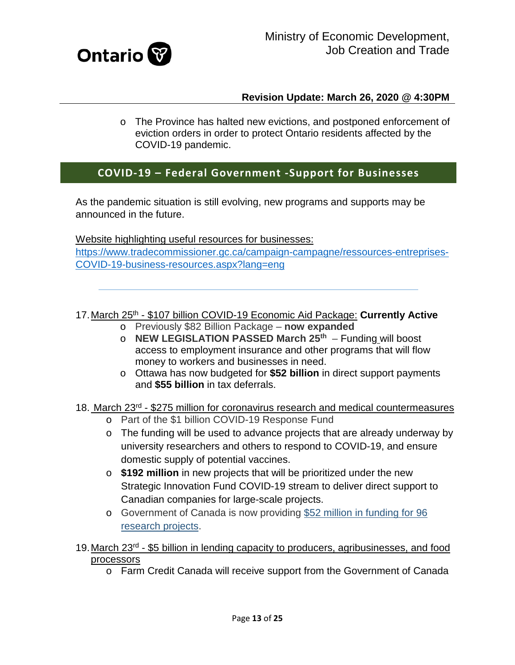

o The Province has halted new evictions, and postponed enforcement of eviction orders in order to protect Ontario residents affected by the COVID-19 pandemic.

# **COVID-19 – Federal Government -Support for Businesses**

As the pandemic situation is still evolving, new programs and supports may be announced in the future.

Website highlighting useful resources for businesses: [https://www.tradecommissioner.gc.ca/campaign-campagne/ressources-entreprises-](https://www.tradecommissioner.gc.ca/campaign-campagne/ressources-entreprises-COVID-19-business-resources.aspx?lang=eng)[COVID-19-business-resources.aspx?lang=eng](https://www.tradecommissioner.gc.ca/campaign-campagne/ressources-entreprises-COVID-19-business-resources.aspx?lang=eng)

<span id="page-12-0"></span>17.March 25th - \$107 billion COVID-19 Economic Aid Package: **Currently Active**

- o Previously \$82 Billion Package **now expanded**
- o **NEW LEGISLATION PASSED March 25th** Funding will boost access to employment insurance and other programs that will flow money to workers and businesses in need.
- o Ottawa has now budgeted for **\$52 billion** in direct support payments and **\$55 billion** in tax deferrals.

# <span id="page-12-1"></span>18. March 23rd - \$275 million for coronavirus research and medical countermeasures

- o Part of the \$1 billion COVID-19 Response Fund
- o The funding will be used to advance projects that are already underway by university researchers and others to respond to COVID-19, and ensure domestic supply of potential vaccines.
- o **\$192 million** in new projects that will be prioritized under the new Strategic Innovation Fund COVID-19 stream to deliver direct support to Canadian companies for large-scale projects.
- o Government of Canada is now providing [\\$52 million in funding for 96](https://www.canada.ca/en/institutes-health-research/news/2020/03/government-of-canada-funds-49-additional-covid-19-research-projects.html)  [research projects.](https://www.canada.ca/en/institutes-health-research/news/2020/03/government-of-canada-funds-49-additional-covid-19-research-projects.html)
- <span id="page-12-2"></span>19. March 23<sup>rd</sup> - \$5 billion in lending capacity to producers, agribusinesses, and food processors
	- o Farm Credit Canada will receive support from the Government of Canada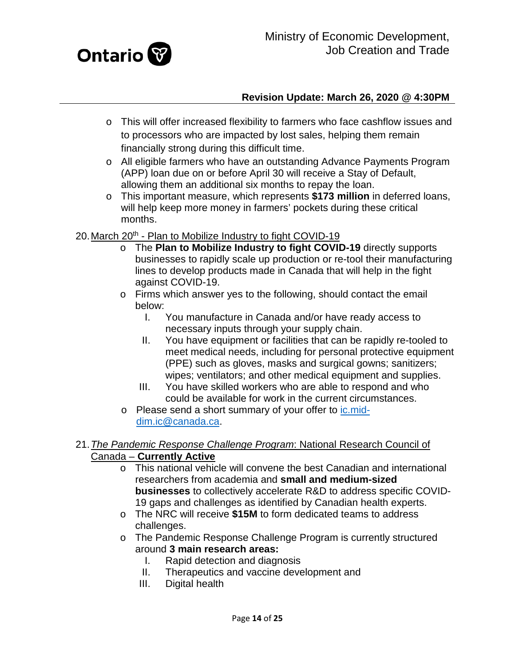

- o This will offer increased flexibility to farmers who face cashflow issues and to processors who are impacted by lost sales, helping them remain financially strong during this difficult time.
- o All eligible farmers who have an outstanding Advance Payments Program (APP) loan due on or before April 30 will receive a Stay of Default, allowing them an additional six months to repay the loan.
- o This important measure, which represents **\$173 million** in deferred loans, will help keep more money in farmers' pockets during these critical months.
- <span id="page-13-0"></span>20. March 20<sup>th</sup> - Plan to Mobilize Industry to fight COVID-19
	- o The **Plan to Mobilize Industry to fight COVID-19** directly supports businesses to rapidly scale up production or re-tool their manufacturing lines to develop products made in Canada that will help in the fight against COVID-19.
	- o Firms which answer yes to the following, should contact the email below:
		- I. You manufacture in Canada and/or have ready access to necessary inputs through your supply chain.
		- II. You have equipment or facilities that can be rapidly re-tooled to meet medical needs, including for personal protective equipment (PPE) such as gloves, masks and surgical gowns; sanitizers; wipes; ventilators; and other medical equipment and supplies.
		- III. You have skilled workers who are able to respond and who could be available for work in the current circumstances.
	- o Please send a short summary of your offer to [ic.mid](mailto:ic.mid-dim.ic@canada.ca)[dim.ic@canada.ca.](mailto:ic.mid-dim.ic@canada.ca)

### <span id="page-13-1"></span>21.*The Pandemic Response Challenge Program*: National Research Council of Canada – **Currently Active**

- o This national vehicle will convene the best Canadian and international researchers from academia and **small and medium-sized businesses** to collectively accelerate R&D to address specific COVID-19 gaps and challenges as identified by Canadian health experts.
- o The NRC will receive **\$15M** to form dedicated teams to address challenges.
- o The Pandemic Response Challenge Program is currently structured around **3 main research areas:**
	- I. Rapid detection and diagnosis
	- II. Therapeutics and vaccine development and
	- III. Digital health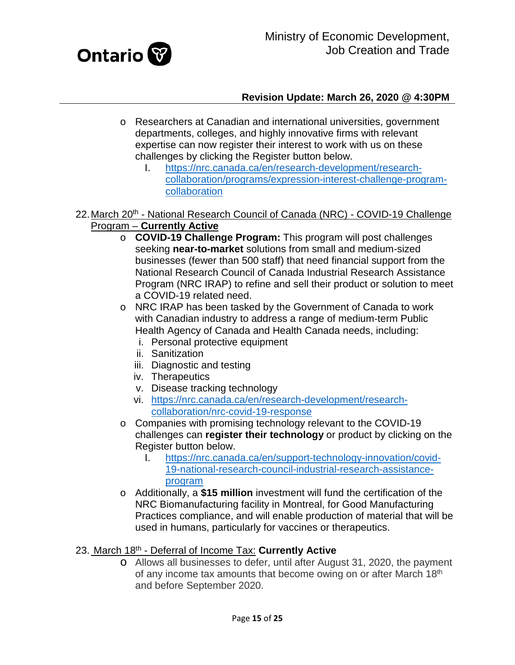

- o Researchers at Canadian and international universities, government departments, colleges, and highly innovative firms with relevant expertise can now register their interest to work with us on these challenges by clicking the Register button below.
	- I. [https://nrc.canada.ca/en/research-development/research](https://nrc.canada.ca/en/research-development/research-collaboration/programs/expression-interest-challenge-program-collaboration)[collaboration/programs/expression-interest-challenge-program](https://nrc.canada.ca/en/research-development/research-collaboration/programs/expression-interest-challenge-program-collaboration)[collaboration](https://nrc.canada.ca/en/research-development/research-collaboration/programs/expression-interest-challenge-program-collaboration)
- <span id="page-14-0"></span>22. March 20<sup>th</sup> - National Research Council of Canada (NRC) - COVID-19 Challenge Program – **Currently Active**
	- o **COVID-19 Challenge Program:** This program will post challenges seeking **near-to-market** solutions from small and medium-sized businesses (fewer than 500 staff) that need financial support from the National Research Council of Canada Industrial Research Assistance Program (NRC IRAP) to refine and sell their product or solution to meet a COVID-19 related need.
	- o NRC IRAP has been tasked by the Government of Canada to work with Canadian industry to address a range of medium-term Public Health Agency of Canada and Health Canada needs, including:
		- i. Personal protective equipment
		- ii. Sanitization
		- iii. Diagnostic and testing
		- iv. Therapeutics
		- v. Disease tracking technology
		- vi. [https://nrc.canada.ca/en/research-development/research](https://nrc.canada.ca/en/research-development/research-collaboration/nrc-covid-19-response)[collaboration/nrc-covid-19-response](https://nrc.canada.ca/en/research-development/research-collaboration/nrc-covid-19-response)
	- o Companies with promising technology relevant to the COVID-19 challenges can **register their technology** or product by clicking on the Register button below.
		- I. [https://nrc.canada.ca/en/support-technology-innovation/covid-](https://nrc.canada.ca/en/support-technology-innovation/covid-19-national-research-council-industrial-research-assistance-program)[19-national-research-council-industrial-research-assistance](https://nrc.canada.ca/en/support-technology-innovation/covid-19-national-research-council-industrial-research-assistance-program)[program](https://nrc.canada.ca/en/support-technology-innovation/covid-19-national-research-council-industrial-research-assistance-program)
	- o Additionally, a **\$15 million** investment will fund the certification of the NRC Biomanufacturing facility in Montreal, for Good Manufacturing Practices compliance, and will enable production of material that will be used in humans, particularly for vaccines or therapeutics.

# <span id="page-14-1"></span>23. March 18th - Deferral of Income Tax: **Currently Active**

o Allows all businesses to defer, until after August 31, 2020, the payment of any income tax amounts that become owing on or after March 18th and before September 2020.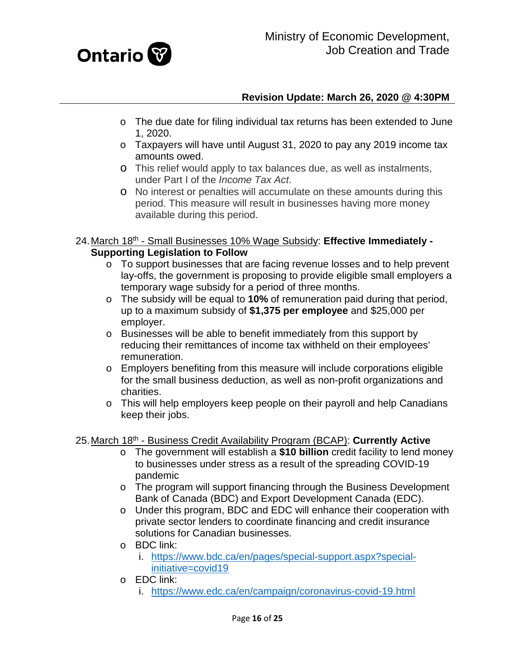

- o The due date for filing individual tax returns has been extended to June 1, 2020.
- o Taxpayers will have until August 31, 2020 to pay any 2019 income tax amounts owed.
- o This relief would apply to tax balances due, as well as instalments, under Part I of the *Income Tax Act*.
- o No interest or penalties will accumulate on these amounts during this period. This measure will result in businesses having more money available during this period.
- <span id="page-15-0"></span>24.March 18th - Small Businesses 10% Wage Subsidy: **Effective Immediately - Supporting Legislation to Follow**
	- o To support businesses that are facing revenue losses and to help prevent lay-offs, the government is proposing to provide eligible small employers a temporary wage subsidy for a period of three months.
	- o The subsidy will be equal to **10%** of remuneration paid during that period, up to a maximum subsidy of **\$1,375 per employee** and \$25,000 per employer.
	- o Businesses will be able to benefit immediately from this support by reducing their remittances of income tax withheld on their employees' remuneration.
	- o Employers benefiting from this measure will include corporations eligible for the small business deduction, as well as non-profit organizations and charities.
	- o This will help employers keep people on their payroll and help Canadians keep their jobs.

# <span id="page-15-1"></span>25.March 18th - Business Credit Availability Program (BCAP): **Currently Active**

- o The government will establish a **\$10 billion** credit facility to lend money to businesses under stress as a result of the spreading COVID-19 pandemic
- o The program will support financing through the Business Development Bank of Canada (BDC) and Export Development Canada (EDC).
- o Under this program, BDC and EDC will enhance their cooperation with private sector lenders to coordinate financing and credit insurance solutions for Canadian businesses.
- o BDC link:
	- i. [https://www.bdc.ca/en/pages/special-support.aspx?special](https://www.bdc.ca/en/pages/special-support.aspx?special-initiative=covid19)[initiative=covid19](https://www.bdc.ca/en/pages/special-support.aspx?special-initiative=covid19)
- o EDC link:
	- i. <https://www.edc.ca/en/campaign/coronavirus-covid-19.html>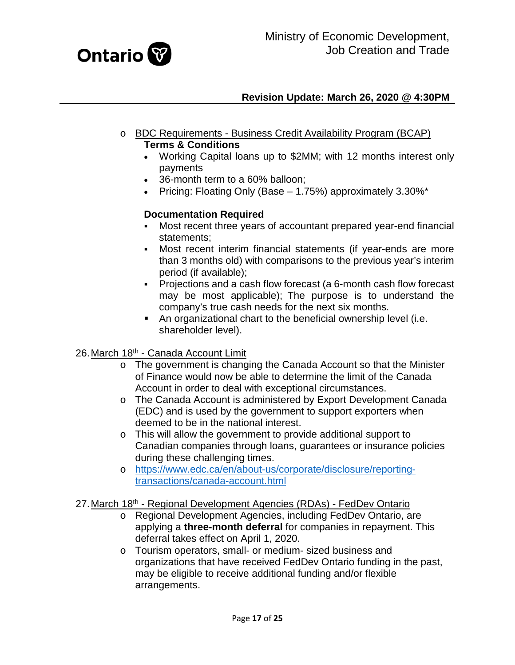

- o BDC Requirements Business Credit Availability Program (BCAP) **Terms & Conditions** 
	- Working Capital loans up to \$2MM; with 12 months interest only payments
	- 36-month term to a 60% balloon;
	- Pricing: Floating Only (Base  $-$  1.75%) approximately 3.30%\*

# **Documentation Required**

- Most recent three years of accountant prepared year-end financial statements;
- Most recent interim financial statements (if year-ends are more than 3 months old) with comparisons to the previous year's interim period (if available);
- Projections and a cash flow forecast (a 6-month cash flow forecast may be most applicable); The purpose is to understand the company's true cash needs for the next six months.
- An organizational chart to the beneficial ownership level (i.e. shareholder level).

### <span id="page-16-0"></span>26. March 18<sup>th</sup> - Canada Account Limit

- o The government is changing the Canada Account so that the Minister of Finance would now be able to determine the limit of the Canada Account in order to deal with exceptional circumstances.
- o The Canada Account is administered by Export Development Canada (EDC) and is used by the government to support exporters when deemed to be in the national interest.
- o This will allow the government to provide additional support to Canadian companies through loans, guarantees or insurance policies during these challenging times.
- o [https://www.edc.ca/en/about-us/corporate/disclosure/reporting](https://www.edc.ca/en/about-us/corporate/disclosure/reporting-transactions/canada-account.html)[transactions/canada-account.html](https://www.edc.ca/en/about-us/corporate/disclosure/reporting-transactions/canada-account.html)

### <span id="page-16-1"></span>27. March 18<sup>th</sup> - Regional Development Agencies (RDAs) - FedDev Ontario

- o Regional Development Agencies, including FedDev Ontario, are applying a **three-month deferral** for companies in repayment. This deferral takes effect on April 1, 2020.
- o Tourism operators, small- or medium- sized business and organizations that have received FedDev Ontario funding in the past, may be eligible to receive additional funding and/or flexible arrangements.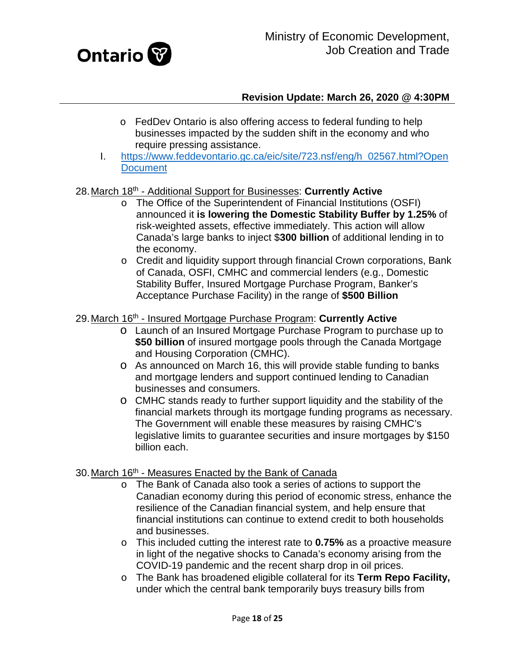

- o FedDev Ontario is also offering access to federal funding to help businesses impacted by the sudden shift in the economy and who require pressing assistance.
- I. [https://www.feddevontario.gc.ca/eic/site/723.nsf/eng/h\\_02567.html?Open](https://www.feddevontario.gc.ca/eic/site/723.nsf/eng/h_02567.html?OpenDocument) **[Document](https://www.feddevontario.gc.ca/eic/site/723.nsf/eng/h_02567.html?OpenDocument)**

### <span id="page-17-0"></span>28.March 18th - Additional Support for Businesses: **Currently Active**

- o The Office of the Superintendent of Financial Institutions (OSFI) announced it **is lowering the Domestic Stability Buffer by 1.25%** of risk-weighted assets, effective immediately. This action will allow Canada's large banks to inject \$**300 billion** of additional lending in to the economy.
- o Credit and liquidity support through financial Crown corporations, Bank of Canada, OSFI, CMHC and commercial lenders (e.g., Domestic Stability Buffer, Insured Mortgage Purchase Program, Banker's Acceptance Purchase Facility) in the range of **\$500 Billion**

### <span id="page-17-1"></span>29.March 16th - Insured Mortgage Purchase Program: **Currently Active**

- o Launch of an Insured Mortgage Purchase Program to purchase up to **\$50 billion** of insured mortgage pools through the Canada Mortgage and Housing Corporation (CMHC).
- o As announced on March 16, this will provide stable funding to banks and mortgage lenders and support continued lending to Canadian businesses and consumers.
- o CMHC stands ready to further support liquidity and the stability of the financial markets through its mortgage funding programs as necessary. The Government will enable these measures by raising CMHC's legislative limits to guarantee securities and insure mortgages by \$150 billion each.

### <span id="page-17-2"></span>30. March 16<sup>th</sup> - Measures Enacted by the Bank of Canada

- o The Bank of Canada also took a series of actions to support the Canadian economy during this period of economic stress, enhance the resilience of the Canadian financial system, and help ensure that financial institutions can continue to extend credit to both households and businesses.
- o This included cutting the interest rate to **0.75%** as a proactive measure in light of the negative shocks to Canada's economy arising from the COVID-19 pandemic and the recent sharp drop in oil prices.
- o The Bank has broadened eligible collateral for its **Term Repo Facility,**  under which the central bank temporarily buys treasury bills from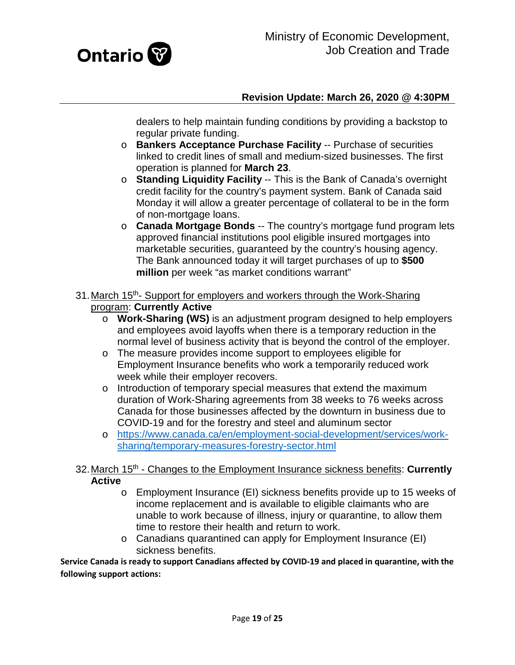

dealers to help maintain funding conditions by providing a backstop to regular private funding.

- o **Bankers Acceptance Purchase Facility** -- Purchase of securities linked to credit lines of small and medium-sized businesses. The first operation is planned for **March 23**.
- o **Standing Liquidity Facility** -- This is the Bank of Canada's overnight credit facility for the country's payment system. Bank of Canada said Monday it will allow a greater percentage of collateral to be in the form of non-mortgage loans.
- o **Canada Mortgage Bonds** -- The country's mortgage fund program lets approved financial institutions pool eligible insured mortgages into marketable securities, guaranteed by the country's housing agency. The Bank announced today it will target purchases of up to **\$500 million** per week "as market conditions warrant"
- <span id="page-18-0"></span>31. March 15<sup>th</sup>- Support for employers and workers through the Work-Sharing program: **Currently Active**
	- o **Work-Sharing (WS)** is an adjustment program designed to help employers and employees avoid layoffs when there is a temporary reduction in the normal level of business activity that is beyond the control of the employer.
	- o The measure provides income support to employees eligible for Employment Insurance benefits who work a temporarily reduced work week while their employer recovers.
	- o Introduction of temporary special measures that extend the maximum duration of Work-Sharing agreements from 38 weeks to 76 weeks across Canada for those businesses affected by the downturn in business due to COVID-19 and for the forestry and steel and aluminum sector
	- o [https://www.canada.ca/en/employment-social-development/services/work](https://www.canada.ca/en/employment-social-development/services/work-sharing/temporary-measures-forestry-sector.html)[sharing/temporary-measures-forestry-sector.html](https://www.canada.ca/en/employment-social-development/services/work-sharing/temporary-measures-forestry-sector.html)

### <span id="page-18-1"></span>32.March 15th - Changes to the Employment Insurance sickness benefits: **Currently Active**

- o Employment Insurance (EI) sickness benefits provide up to 15 weeks of income replacement and is available to eligible claimants who are unable to work because of illness, injury or quarantine, to allow them time to restore their health and return to work.
- o Canadians quarantined can apply for Employment Insurance (EI) sickness benefits.

**Service Canada is ready to support Canadians affected by COVID-19 and placed in quarantine, with the following support actions:**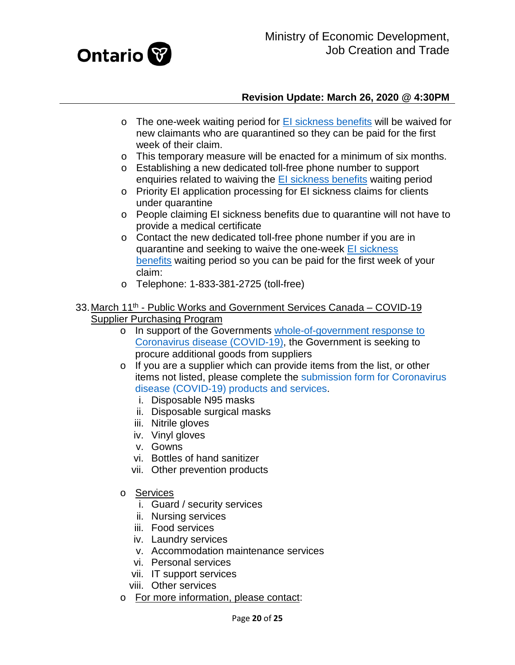

- $\circ$  The one-week waiting period for [EI sickness benefits](https://www.canada.ca/en/services/benefits/ei/ei-sickness.html) will be waived for new claimants who are quarantined so they can be paid for the first week of their claim.
- o This temporary measure will be enacted for a minimum of six months.
- o Establishing a new dedicated toll-free phone number to support enquiries related to waiving the [EI sickness benefits](https://www.canada.ca/en/services/benefits/ei/ei-sickness.html) waiting period
- o Priority EI application processing for EI sickness claims for clients under quarantine
- o People claiming EI sickness benefits due to quarantine will not have to provide a medical certificate
- o Contact the new dedicated toll-free phone number if you are in quarantine and seeking to waive the one-week El sickness [benefits](https://www.canada.ca/en/services/benefits/ei/ei-sickness.html) waiting period so you can be paid for the first week of your claim:
- o Telephone: 1-833-381-2725 (toll-free)
- <span id="page-19-0"></span>33. March 11<sup>th</sup> - Public Works and Government Services Canada – COVID-19 Supplier Purchasing Program
	- o In support of the Governments [whole-of-government response to](https://pm.gc.ca/en/news/news-releases/2020/03/11/prime-minister-outlines-canadas-covid-19-response)  [Coronavirus disease \(COVID-19\),](https://pm.gc.ca/en/news/news-releases/2020/03/11/prime-minister-outlines-canadas-covid-19-response) the Government is seeking to procure additional goods from suppliers
	- o If you are a supplier which can provide items from the list, or other items not listed, please complete the [submission form for Coronavirus](https://buyandsell.gc.ca/forms/help-canada-combat-covid-19-submission-form)  [disease \(COVID-19\) products and services.](https://buyandsell.gc.ca/forms/help-canada-combat-covid-19-submission-form)
		- i. Disposable N95 masks
		- ii. Disposable surgical masks
		- iii. Nitrile gloves
		- iv. Vinyl gloves
		- v. Gowns
		- vi. Bottles of hand sanitizer
		- vii. Other prevention products
	- o Services
		- i. Guard / security services
		- ii. Nursing services
		- iii. Food services
		- iv. Laundry services
		- v. Accommodation maintenance services
		- vi. Personal services
		- vii. IT support services
		- viii. Other services
	- o For more information, please contact: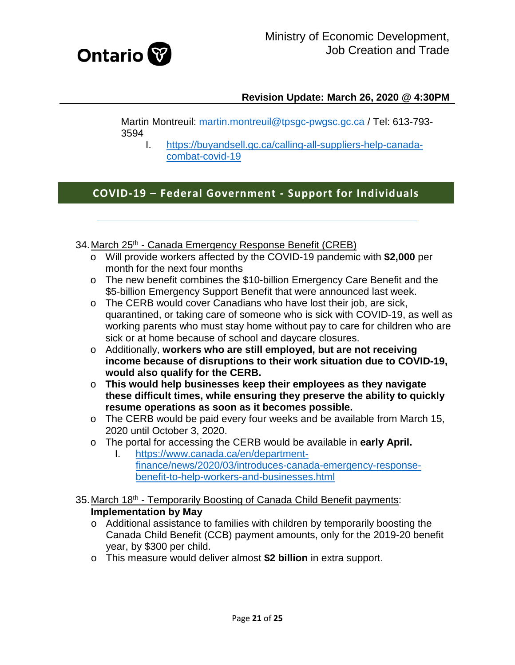

Martin Montreuil: [martin.montreuil@tpsgc-pwgsc.gc.ca](mailto:martin.montreuil@tpsgc-pwgsc.gc.ca) / Tel: 613-793- 3594

I. [https://buyandsell.gc.ca/calling-all-suppliers-help-canada](https://buyandsell.gc.ca/calling-all-suppliers-help-canada-combat-covid-19)[combat-covid-19](https://buyandsell.gc.ca/calling-all-suppliers-help-canada-combat-covid-19)

# **COVID-19 – Federal Government - Support for Individuals**

<span id="page-20-0"></span>34. March 25<sup>th</sup> - Canada Emergency Response Benefit (CREB)

- o Will provide workers affected by the COVID-19 pandemic with **\$2,000** per month for the next four months
- o The new benefit combines the \$10-billion Emergency Care Benefit and the \$5-billion Emergency Support Benefit that were announced last week.
- o The CERB would cover Canadians who have lost their job, are sick, quarantined, or taking care of someone who is sick with COVID-19, as well as working parents who must stay home without pay to care for children who are sick or at home because of school and daycare closures.
- o Additionally, **workers who are still employed, but are not receiving income because of disruptions to their work situation due to COVID-19, would also qualify for the CERB.**
- o **This would help businesses keep their employees as they navigate these difficult times, while ensuring they preserve the ability to quickly resume operations as soon as it becomes possible.**
- o The CERB would be paid every four weeks and be available from March 15, 2020 until October 3, 2020.
- o The portal for accessing the CERB would be available in **early April.**
	- [https://www.canada.ca/en/department](https://www.canada.ca/en/department-finance/news/2020/03/introduces-canada-emergency-response-benefit-to-help-workers-and-businesses.html)[finance/news/2020/03/introduces-canada-emergency-response](https://www.canada.ca/en/department-finance/news/2020/03/introduces-canada-emergency-response-benefit-to-help-workers-and-businesses.html)[benefit-to-help-workers-and-businesses.html](https://www.canada.ca/en/department-finance/news/2020/03/introduces-canada-emergency-response-benefit-to-help-workers-and-businesses.html)
- <span id="page-20-1"></span>35. March 18<sup>th</sup> - Temporarily Boosting of Canada Child Benefit payments: **Implementation by May**
	- o Additional assistance to families with children by temporarily boosting the Canada Child Benefit (CCB) payment amounts, only for the 2019-20 benefit year, by \$300 per child.
	- o This measure would deliver almost **\$2 billion** in extra support.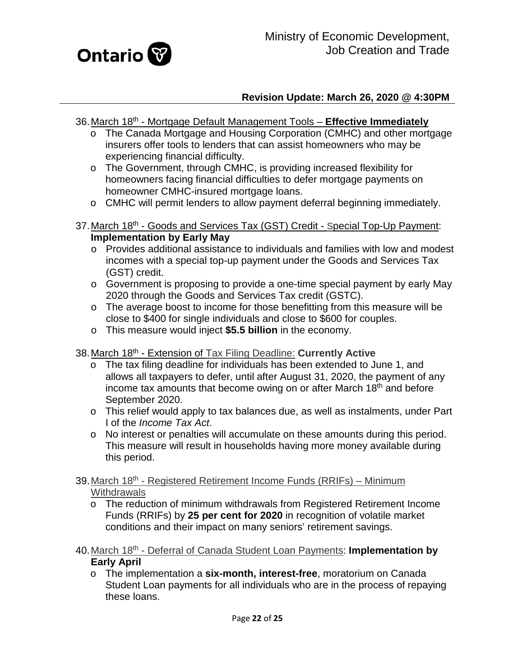

- <span id="page-21-0"></span>36.March 18th - Mortgage Default Management Tools – **Effective Immediately**
	- o The Canada Mortgage and Housing Corporation (CMHC) and other mortgage insurers offer tools to lenders that can assist homeowners who may be experiencing financial difficulty.
	- o The Government, through CMHC, is providing increased flexibility for homeowners facing financial difficulties to defer mortgage payments on homeowner CMHC-insured mortgage loans.
	- o CMHC will permit lenders to allow payment deferral beginning immediately.
- <span id="page-21-1"></span>37. March 18<sup>th</sup> - Goods and Services Tax (GST) Credit - Special Top-Up Payment: **Implementation by Early May**
	- o Provides additional assistance to individuals and families with low and modest incomes with a special top-up payment under the Goods and Services Tax (GST) credit.
	- o Government is proposing to provide a one-time special payment by early May 2020 through the Goods and Services Tax credit (GSTC).
	- o The average boost to income for those benefitting from this measure will be close to \$400 for single individuals and close to \$600 for couples.
	- o This measure would inject **\$5.5 billion** in the economy.
- <span id="page-21-2"></span>38.March 18th - Extension of Tax Filing Deadline: **Currently Active**
	- o The tax filing deadline for individuals has been extended to June 1, and allows all taxpayers to defer, until after August 31, 2020, the payment of any income tax amounts that become owing on or after March 18<sup>th</sup> and before September 2020.
	- o This relief would apply to tax balances due, as well as instalments, under Part I of the *Income Tax Act*.
	- o No interest or penalties will accumulate on these amounts during this period. This measure will result in households having more money available during this period.
- <span id="page-21-3"></span>39. March 18<sup>th</sup> - Registered Retirement Income Funds (RRIFs) – Minimum **Withdrawals** 
	- o The reduction of minimum withdrawals from Registered Retirement Income Funds (RRIFs) by **25 per cent for 2020** in recognition of volatile market conditions and their impact on many seniors' retirement savings.
- <span id="page-21-4"></span>40.March 18th - Deferral of Canada Student Loan Payments: **Implementation by Early April**
	- o The implementation a **six-month, interest-free**, moratorium on Canada Student Loan payments for all individuals who are in the process of repaying these loans.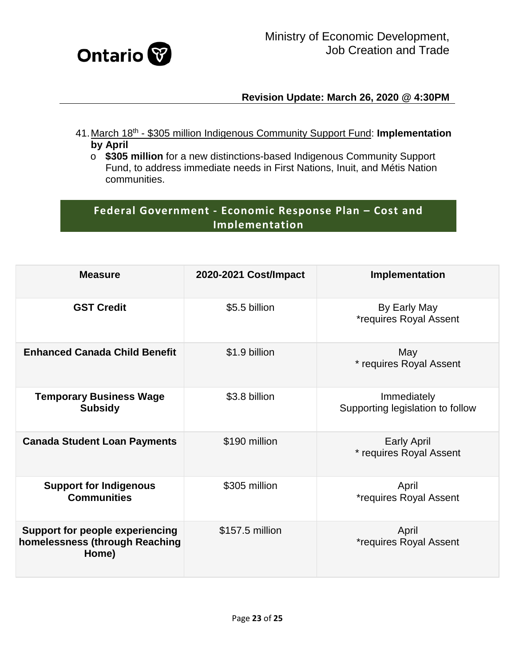

- <span id="page-22-0"></span>41.March 18th - \$305 million Indigenous Community Support Fund: **Implementation by April**
	- o **\$305 million** for a new distinctions-based Indigenous Community Support Fund, to address immediate needs in First Nations, Inuit, and Métis Nation communities.

# **Federal Government - Economic Response Plan – Cost and Implementation**

| <b>Measure</b>                                                                    | 2020-2021 Cost/Impact | Implementation                                  |
|-----------------------------------------------------------------------------------|-----------------------|-------------------------------------------------|
| <b>GST Credit</b>                                                                 | \$5.5 billion         | By Early May<br><i>*requires Royal Assent</i>   |
| <b>Enhanced Canada Child Benefit</b>                                              | \$1.9 billion         | May<br>* requires Royal Assent                  |
| <b>Temporary Business Wage</b><br><b>Subsidy</b>                                  | \$3.8 billion         | Immediately<br>Supporting legislation to follow |
| <b>Canada Student Loan Payments</b>                                               | \$190 million         | <b>Early April</b><br>* requires Royal Assent   |
| <b>Support for Indigenous</b><br><b>Communities</b>                               | \$305 million         | April<br><i>*requires Royal Assent</i>          |
| <b>Support for people experiencing</b><br>homelessness (through Reaching<br>Home) | \$157.5 million       | April<br><i>*requires Royal Assent</i>          |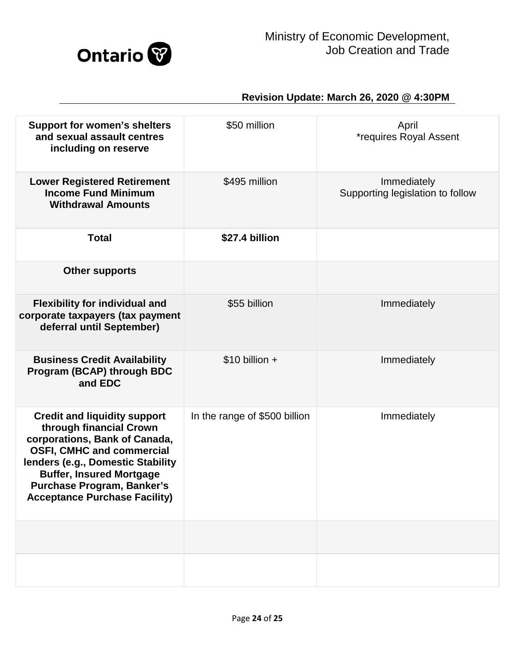

| <b>Support for women's shelters</b><br>and sexual assault centres<br>including on reserve                                                                                                                                                                                                | \$50 million                  | April<br><i>*requires Royal Assent</i>          |
|------------------------------------------------------------------------------------------------------------------------------------------------------------------------------------------------------------------------------------------------------------------------------------------|-------------------------------|-------------------------------------------------|
| <b>Lower Registered Retirement</b><br><b>Income Fund Minimum</b><br><b>Withdrawal Amounts</b>                                                                                                                                                                                            | \$495 million                 | Immediately<br>Supporting legislation to follow |
| <b>Total</b>                                                                                                                                                                                                                                                                             | \$27.4 billion                |                                                 |
| <b>Other supports</b>                                                                                                                                                                                                                                                                    |                               |                                                 |
| <b>Flexibility for individual and</b><br>corporate taxpayers (tax payment<br>deferral until September)                                                                                                                                                                                   | \$55 billion                  | Immediately                                     |
| <b>Business Credit Availability</b><br>Program (BCAP) through BDC<br>and EDC                                                                                                                                                                                                             | $$10$ billion +               | Immediately                                     |
| <b>Credit and liquidity support</b><br>through financial Crown<br>corporations, Bank of Canada,<br><b>OSFI, CMHC and commercial</b><br>lenders (e.g., Domestic Stability<br><b>Buffer, Insured Mortgage</b><br><b>Purchase Program, Banker's</b><br><b>Acceptance Purchase Facility)</b> | In the range of \$500 billion | Immediately                                     |
|                                                                                                                                                                                                                                                                                          |                               |                                                 |
|                                                                                                                                                                                                                                                                                          |                               |                                                 |